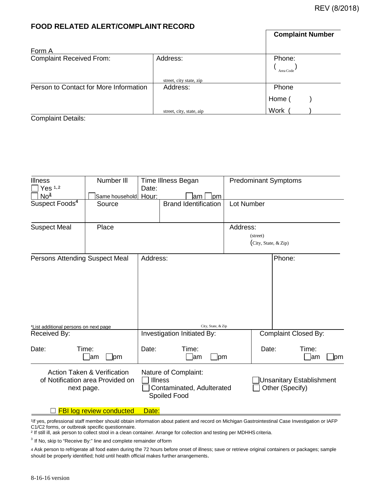**Complaint Number**

## **FOOD RELATED ALERT/COMPLAINT RECORD**

| Form A                                 |                          |                     |
|----------------------------------------|--------------------------|---------------------|
| <b>Complaint Received From:</b>        | Address:                 | Phone:<br>Area Code |
|                                        | street, city state, zip  |                     |
| Person to Contact for More Information | Address:                 | Phone               |
|                                        |                          | Home                |
|                                        | street, city, state, aip | Work                |

Complaint Details:

| <b>Illness</b><br>Yes <sup>1,2</sup>  | Number III                                                                 | Date:                       | Time Illness Began                                                                  |             | <b>Predominant Symptoms</b> |                                 |  |
|---------------------------------------|----------------------------------------------------------------------------|-----------------------------|-------------------------------------------------------------------------------------|-------------|-----------------------------|---------------------------------|--|
| No <sup>3</sup>                       | Same household Hour:                                                       |                             | lam                                                                                 | pm          |                             |                                 |  |
| Suspect Foods <sup>4</sup>            | Source                                                                     |                             | <b>Brand Identification</b>                                                         | Lot Number  |                             |                                 |  |
| <b>Suspect Meal</b><br>Place          |                                                                            |                             |                                                                                     | Address:    |                             |                                 |  |
|                                       |                                                                            |                             |                                                                                     |             | (street)                    |                                 |  |
|                                       |                                                                            |                             |                                                                                     |             | (City, State, & Zip)        |                                 |  |
| Persons Attending Suspect Meal        |                                                                            | Address:                    |                                                                                     |             | Phone:                      |                                 |  |
| *List additional persons on next page |                                                                            |                             | City, State, & Zip                                                                  |             |                             |                                 |  |
| Received By:                          |                                                                            | Investigation Initiated By: |                                                                                     |             | <b>Complaint Closed By:</b> |                                 |  |
| Date:                                 | Time:<br>_lam<br>$\Box$ pm                                                 | Date:                       | Time:<br>lam                                                                        | <u>l</u> pm | Date:                       | Time:<br> am<br>]pm             |  |
| next page.                            | <b>Action Taken &amp; Verification</b><br>of Notification area Provided on |                             | Nature of Complaint:<br><b>Illness</b><br>Contaminated, Adulterated<br>Spoiled Food |             | Other (Specify)             | <b>Unsanitary Establishment</b> |  |

□ FBI log review conducted Date:

1If yes, professional staff member should obtain information about patient and record on Michigan Gastrointestinal Case Investigation or IAFP C1/C2 forms, or outbreak specific questionnaire.

² If still ill, ask person to collect stool in a clean container. Arrange for collection and testing per MDHHS criteria.

 $3$  If No, skip to "Receive By:" line and complete remainder of form

4 Ask person to refrigerate all food eaten during the 72 hours before onset of illness; save or retrieve original containers or packages; sample should be properly identified; hold until health official makes further arrangements.